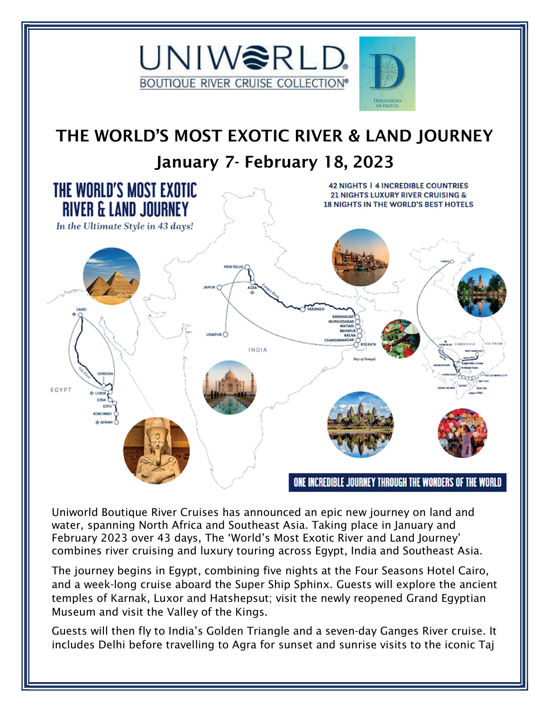

## THE WORLD'S MOST EXOTIC RIVER & LAND JOURNEY January 7- February 18, 2023



Uniworld Boutique River Cruises has announced an epic new journey on land and water, spanning North Africa and Southeast Asia. Taking place in January and February 2023 over 43 days, The 'World's Most Exotic River and Land Journey' combines river cruising and luxury touring across Egypt, India and Southeast Asia.

The journey begins in Egypt, combining five nights at the Four Seasons Hotel Cairo, and a week-long cruise aboard the Super Ship Sphinx. Guests will explore the ancient temples of Karnak, Luxor and Hatshepsut; visit the newly reopened Grand Egyptian Museum and visit the Valley of the Kings.

Guests will then fly to India's Golden Triangle and a seven-day Ganges River cruise. It includes Delhi before travelling to Agra for sunset and sunrise visits to the iconic Taj